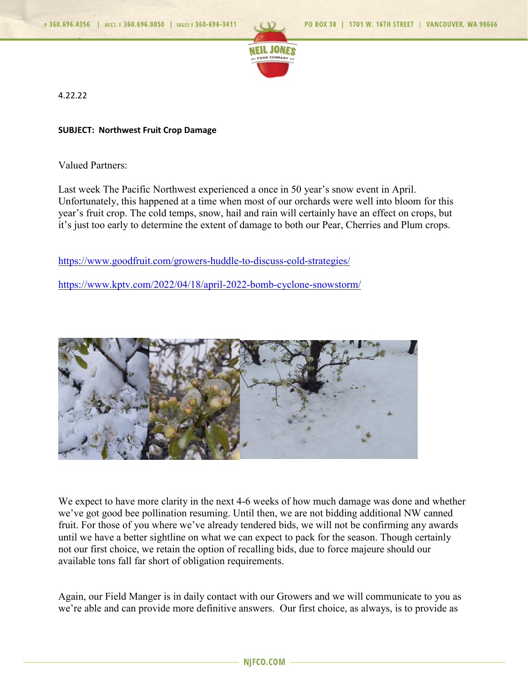

4.22.22

## **SUBJECT: Northwest Fruit Crop Damage**

Valued Partners:

Last week The Pacific Northwest experienced a once in 50 year's snow event in April. Unfortunately, this happened at a time when most of our orchards were well into bloom for this year's fruit crop. The cold temps, snow, hail and rain will certainly have an effect on crops, but it's just too early to determine the extent of damage to both our Pear, Cherries and Plum crops.

<https://www.goodfruit.com/growers-huddle-to-discuss-cold-strategies/>

<https://www.kptv.com/2022/04/18/april-2022-bomb-cyclone-snowstorm/>



We expect to have more clarity in the next 4-6 weeks of how much damage was done and whether we've got good bee pollination resuming. Until then, we are not bidding additional NW canned fruit. For those of you where we've already tendered bids, we will not be confirming any awards until we have a better sightline on what we can expect to pack for the season. Though certainly not our first choice, we retain the option of recalling bids, due to force majeure should our available tons fall far short of obligation requirements.

Again, our Field Manger is in daily contact with our Growers and we will communicate to you as we're able and can provide more definitive answers. Our first choice, as always, is to provide as